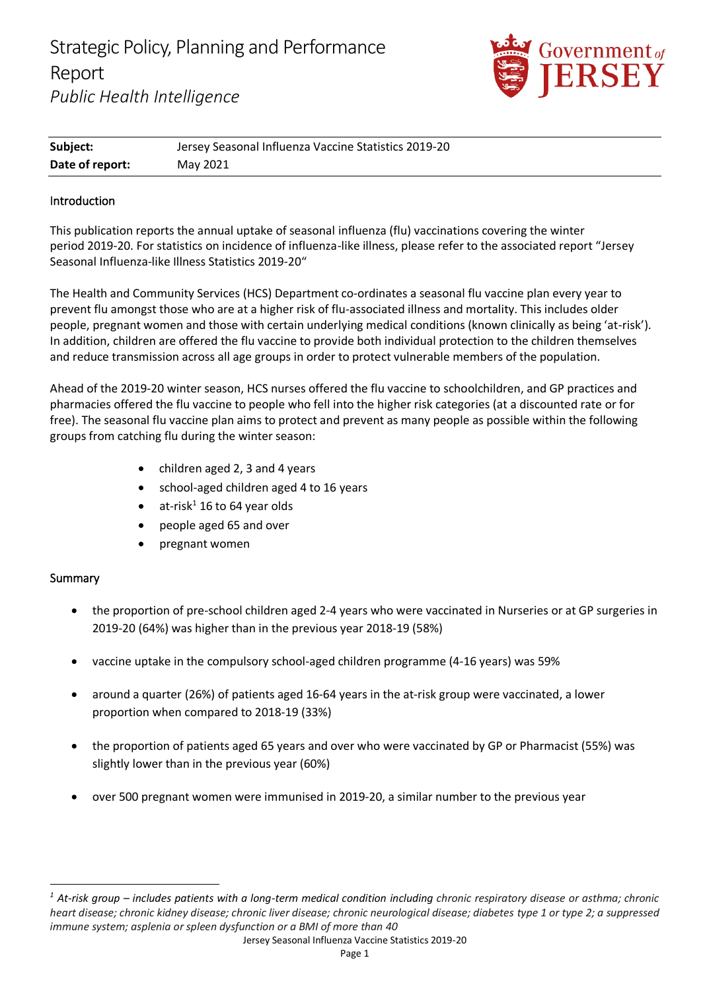Strategic Policy, Planning and Performance Report *Public Health Intelligence*



| Subject:        | Jersey Seasonal Influenza Vaccine Statistics 2019-20 |
|-----------------|------------------------------------------------------|
| Date of report: | May 2021                                             |

#### Introduction

This publication reports the annual uptake of seasonal influenza (flu) vaccinations covering the winter period 2019-20. For statistics on incidence of influenza-like illness, please refer to the associated report "Jersey Seasonal Influenza-like Illness Statistics 2019-20"

The Health and Community Services (HCS) Department co-ordinates a seasonal flu vaccine plan every year to prevent flu amongst those who are at a higher risk of flu-associated illness and mortality. This includes older people, pregnant women and those with certain underlying medical conditions (known clinically as being 'at-risk'). In addition, children are offered the flu vaccine to provide both individual protection to the children themselves and reduce transmission across all age groups in order to protect vulnerable members of the population.

Ahead of the 2019-20 winter season, HCS nurses offered the flu vaccine to schoolchildren, and GP practices and pharmacies offered the flu vaccine to people who fell into the higher risk categories (at a discounted rate or for free). The seasonal flu vaccine plan aims to protect and prevent as many people as possible within the following groups from catching flu during the winter season:

- children aged 2, 3 and 4 years
- school-aged children aged 4 to 16 years
- at-risk $^1$  16 to 64 year olds
- people aged 65 and over
- pregnant women

#### Summary

- the proportion of pre-school children aged 2-4 years who were vaccinated in Nurseries or at GP surgeries in 2019-20 (64%) was higher than in the previous year 2018-19 (58%)
- vaccine uptake in the compulsory school-aged children programme (4-16 years) was 59%
- around a quarter (26%) of patients aged 16-64 years in the at-risk group were vaccinated, a lower proportion when compared to 2018-19 (33%)
- the proportion of patients aged 65 years and over who were vaccinated by GP or Pharmacist (55%) was slightly lower than in the previous year (60%)
- over 500 pregnant women were immunised in 2019-20, a similar number to the previous year

*<sup>1</sup> At-risk group – includes patients with a long-term medical condition including chronic respiratory disease or asthma; chronic heart disease; chronic kidney disease; chronic liver disease; chronic neurological disease; diabetes type 1 or type 2; a suppressed immune system; asplenia or spleen dysfunction or a BMI of more than 40*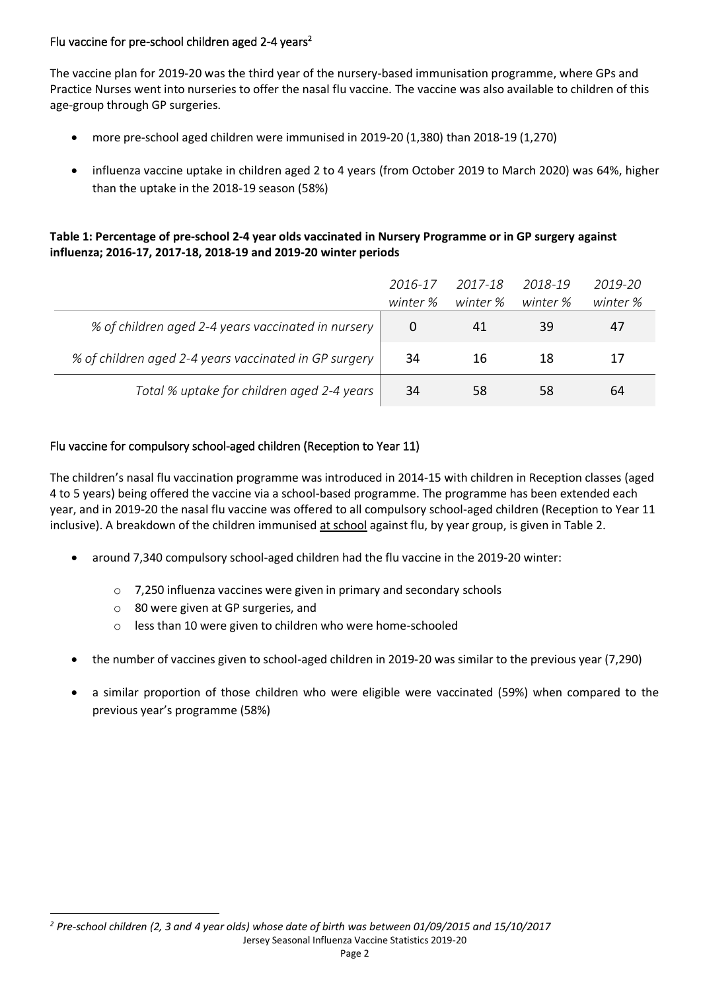# Flu vaccine for pre-school children aged 2-4 years<sup>2</sup>

The vaccine plan for 2019-20 was the third year of the nursery-based immunisation programme, where GPs and Practice Nurses went into nurseries to offer the nasal flu vaccine. The vaccine was also available to children of this age-group through GP surgeries.

- more pre-school aged children were immunised in 2019-20 (1,380) than 2018-19 (1,270)
- influenza vaccine uptake in children aged 2 to 4 years (from October 2019 to March 2020) was 64%, higher than the uptake in the 2018-19 season (58%)

## **Table 1: Percentage of pre-school 2-4 year olds vaccinated in Nursery Programme or in GP surgery against influenza; 2016-17, 2017-18, 2018-19 and 2019-20 winter periods**

|                                                       | 2016-17<br>winter % | 2017-18<br>winter % | 2018-19<br>winter % | 2019-20<br>winter % |
|-------------------------------------------------------|---------------------|---------------------|---------------------|---------------------|
| % of children aged 2-4 years vaccinated in nursery    |                     | 41                  | 39                  | 47                  |
| % of children aged 2-4 years vaccinated in GP surgery | 34                  | 16                  | 18                  |                     |
| Total % uptake for children aged 2-4 years            | 34                  | 58                  | 58                  | 64                  |

# Flu vaccine for compulsory school-aged children (Reception to Year 11)

The children's nasal flu vaccination programme was introduced in 2014-15 with children in Reception classes (aged 4 to 5 years) being offered the vaccine via a school-based programme. The programme has been extended each year, and in 2019-20 the nasal flu vaccine was offered to all compulsory school-aged children (Reception to Year 11 inclusive). A breakdown of the children immunised at school against flu, by year group, is given in Table 2.

- around 7,340 compulsory school-aged children had the flu vaccine in the 2019-20 winter:
	- o 7,250 influenza vaccines were given in primary and secondary schools
	- o 80 were given at GP surgeries, and
	- o less than 10 were given to children who were home-schooled
- the number of vaccines given to school-aged children in 2019-20 was similar to the previous year (7,290)
- a similar proportion of those children who were eligible were vaccinated (59%) when compared to the previous year's programme (58%)

Jersey Seasonal Influenza Vaccine Statistics 2019-20 *<sup>2</sup> Pre-school children (2, 3 and 4 year olds) whose date of birth was between 01/09/2015 and 15/10/2017*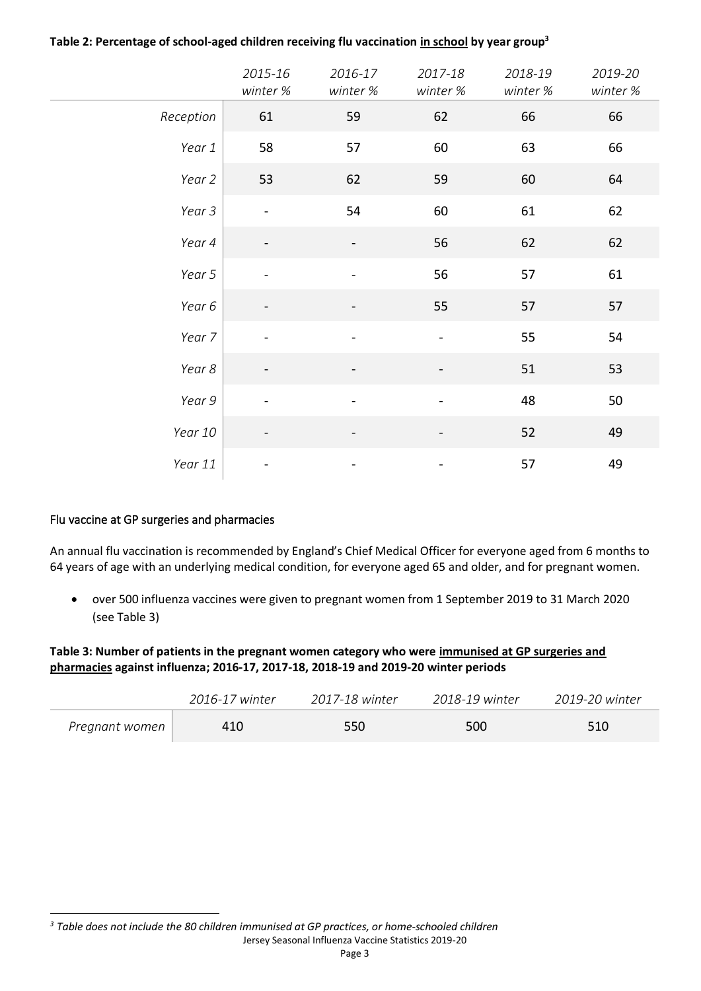|           | 2015-16<br>winter %          | 2016-17<br>winter %          | 2017-18<br>winter %          | 2018-19<br>winter % | 2019-20<br>winter % |
|-----------|------------------------------|------------------------------|------------------------------|---------------------|---------------------|
| Reception | 61                           | 59                           | 62                           | 66                  | 66                  |
| Year 1    | 58                           | 57                           | 60                           | 63                  | 66                  |
| Year 2    | 53                           | 62                           | 59                           | 60                  | 64                  |
| Year 3    | $\qquad \qquad \blacksquare$ | 54                           | 60                           | 61                  | 62                  |
| Year 4    |                              |                              | 56                           | 62                  | 62                  |
| Year 5    |                              |                              | 56                           | 57                  | 61                  |
| Year 6    |                              |                              | 55                           | 57                  | 57                  |
| Year 7    |                              |                              | $\blacksquare$               | 55                  | 54                  |
| Year 8    | $\overline{\phantom{a}}$     | $\qquad \qquad \blacksquare$ | $\overline{\phantom{0}}$     | 51                  | 53                  |
| Year 9    |                              | $\overline{a}$               |                              | 48                  | 50                  |
| Year 10   |                              | $\overline{\phantom{0}}$     | -                            | 52                  | 49                  |
| Year 11   |                              |                              | $\qquad \qquad \blacksquare$ | 57                  | 49                  |

#### **Table 2: Percentage of school-aged children receiving flu vaccination in school by year group<sup>3</sup>**

#### Flu vaccine at GP surgeries and pharmacies

An annual flu vaccination is recommended by England's Chief Medical Officer for everyone aged from 6 months to 64 years of age with an underlying medical condition, for everyone aged 65 and older, and for pregnant women.

• over 500 influenza vaccines were given to pregnant women from 1 September 2019 to 31 March 2020 (see Table 3)

**Table 3: Number of patients in the pregnant women category who were immunised at GP surgeries and pharmacies against influenza; 2016-17, 2017-18, 2018-19 and 2019-20 winter periods**

|                | 2016-17 winter | 2017-18 winter | 2018-19 winter | 2019-20 winter |
|----------------|----------------|----------------|----------------|----------------|
| Pregnant women | 410            | 550            | 500            | 510            |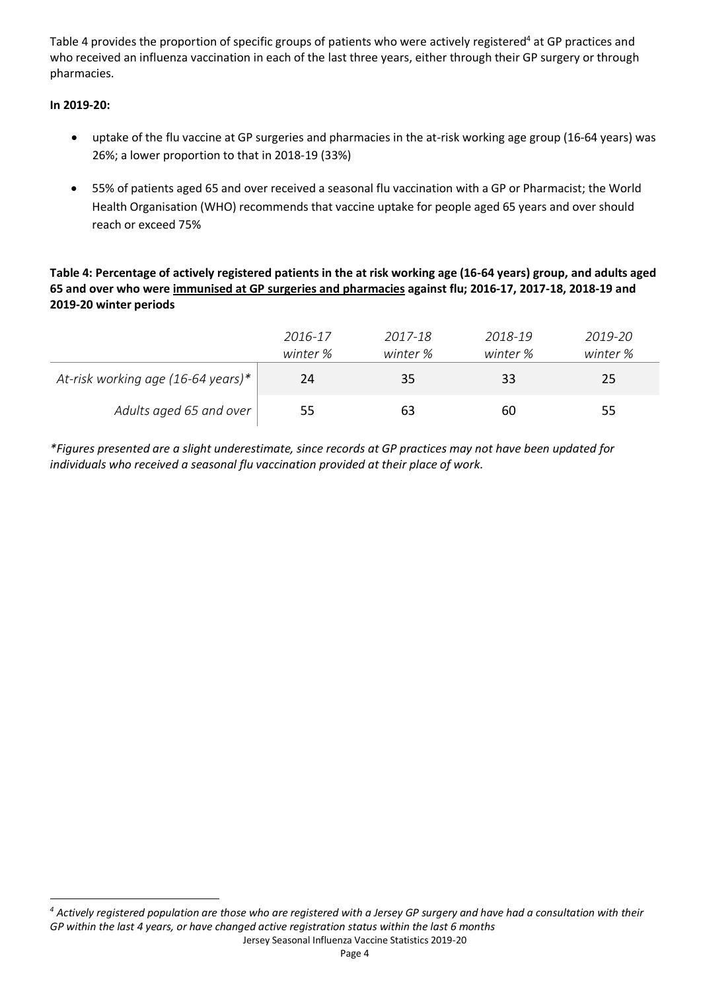Table 4 provides the proportion of specific groups of patients who were actively registered<sup>4</sup> at GP practices and who received an influenza vaccination in each of the last three years, either through their GP surgery or through pharmacies.

## **In 2019-20:**

- uptake of the flu vaccine at GP surgeries and pharmacies in the at-risk working age group (16-64 years) was 26%; a lower proportion to that in 2018-19 (33%)
- 55% of patients aged 65 and over received a seasonal flu vaccination with a GP or Pharmacist; the World Health Organisation (WHO) recommends that vaccine uptake for people aged 65 years and over should reach or exceed 75%

**Table 4: Percentage of actively registered patients in the at risk working age (16-64 years) group, and adults aged 65 and over who were immunised at GP surgeries and pharmacies against flu; 2016-17, 2017-18, 2018-19 and 2019-20 winter periods**

|                                    | 2016-17  | 2017-18  | 2018-19  | 2019-20  |
|------------------------------------|----------|----------|----------|----------|
|                                    | winter % | winter % | winter % | winter % |
| At-risk working age (16-64 years)* | 24       | 35       | 33       | 25       |
| Adults aged 65 and over            | 55       | 63       | 60       | 55       |

*\*Figures presented are a slight underestimate, since records at GP practices may not have been updated for individuals who received a seasonal flu vaccination provided at their place of work.*

Jersey Seasonal Influenza Vaccine Statistics 2019-20 *<sup>4</sup> Actively registered population are those who are registered with a Jersey GP surgery and have had a consultation with their GP within the last 4 years, or have changed active registration status within the last 6 months*